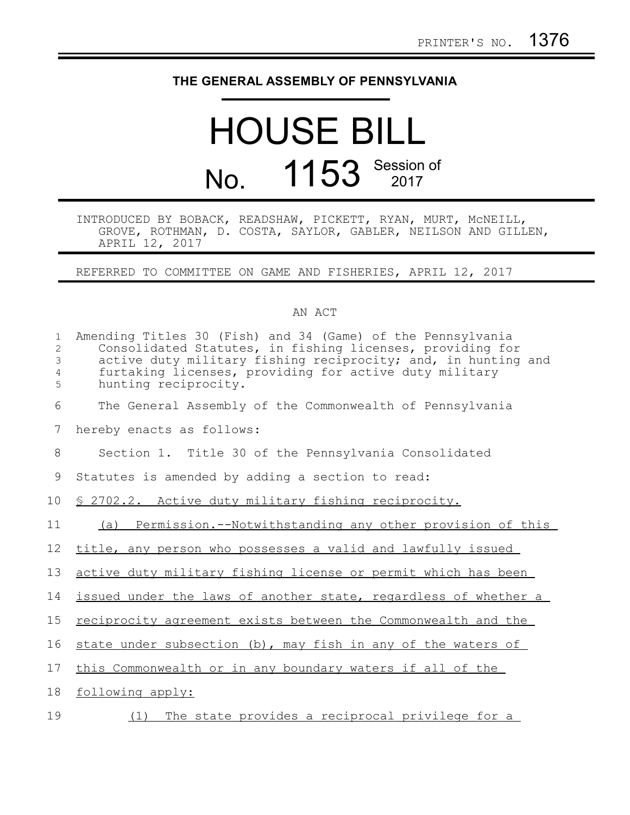## **THE GENERAL ASSEMBLY OF PENNSYLVANIA**

## HOUSE BILL No. 1153 Session of

## INTRODUCED BY BOBACK, READSHAW, PICKETT, RYAN, MURT, McNEILL, GROVE, ROTHMAN, D. COSTA, SAYLOR, GABLER, NEILSON AND GILLEN, APRIL 12, 2017

REFERRED TO COMMITTEE ON GAME AND FISHERIES, APRIL 12, 2017

## AN ACT

| $\mathbf{1}$<br>2<br>$\mathfrak{Z}$<br>4<br>5 | Amending Titles 30 (Fish) and 34 (Game) of the Pennsylvania<br>Consolidated Statutes, in fishing licenses, providing for<br>active duty military fishing reciprocity; and, in hunting and<br>furtaking licenses, providing for active duty military<br>hunting reciprocity. |
|-----------------------------------------------|-----------------------------------------------------------------------------------------------------------------------------------------------------------------------------------------------------------------------------------------------------------------------------|
| 6                                             | The General Assembly of the Commonwealth of Pennsylvania                                                                                                                                                                                                                    |
| 7                                             | hereby enacts as follows:                                                                                                                                                                                                                                                   |
| 8                                             | Section 1. Title 30 of the Pennsylvania Consolidated                                                                                                                                                                                                                        |
| 9                                             | Statutes is amended by adding a section to read:                                                                                                                                                                                                                            |
| 10 <sub>o</sub>                               | \$ 2702.2. Active duty military fishing reciprocity.                                                                                                                                                                                                                        |
| 11                                            | Permission.--Notwithstanding any other provision of this<br>(a)                                                                                                                                                                                                             |
| 12                                            | title, any person who possesses a valid and lawfully issued                                                                                                                                                                                                                 |
| 13                                            | active duty military fishing license or permit which has been                                                                                                                                                                                                               |
| 14                                            | issued under the laws of another state, regardless of whether a                                                                                                                                                                                                             |
| 15                                            | reciprocity agreement exists between the Commonwealth and the                                                                                                                                                                                                               |
| 16                                            | state under subsection (b), may fish in any of the waters of                                                                                                                                                                                                                |
| 17                                            | this Commonwealth or in any boundary waters if all of the                                                                                                                                                                                                                   |
| 18                                            | following apply:                                                                                                                                                                                                                                                            |
| 19                                            | The state provides a reciprocal privilege for a<br>(1)                                                                                                                                                                                                                      |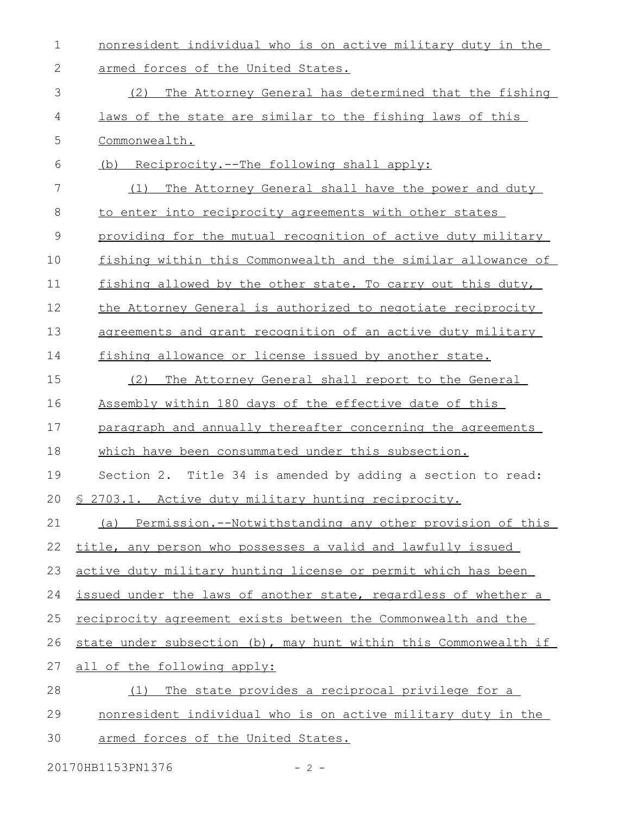| $\mathbf 1$   | nonresident individual who is on active military duty in the     |
|---------------|------------------------------------------------------------------|
| 2             | armed forces of the United States.                               |
| 3             | The Attorney General has determined that the fishing<br>(2)      |
| 4             | laws of the state are similar to the fishing laws of this        |
| 5             | Commonwealth.                                                    |
| 6             | (b) Reciprocity.--The following shall apply:                     |
| 7             | The Attorney General shall have the power and duty<br>(1)        |
| $8\,$         | to enter into reciprocity agreements with other states           |
| $\mathcal{G}$ | providing for the mutual recognition of active duty military     |
| 10            | fishing within this Commonwealth and the similar allowance of    |
| 11            | fishing allowed by the other state. To carry out this duty,      |
| 12            | the Attorney General is authorized to negotiate reciprocity      |
| 13            | agreements and grant recognition of an active duty military      |
| 14            | fishing allowance or license issued by another state.            |
| 15            | The Attorney General shall report to the General<br>(2)          |
| 16            | Assembly within 180 days of the effective date of this           |
| 17            | paragraph and annually thereafter concerning the agreements      |
| 18            | which have been consummated under this subsection.               |
| 19            | Section 2. Title 34 is amended by adding a section to read:      |
|               | 20 § 2703.1. Active duty military hunting reciprocity.           |
| 21            | (a) Permission.--Notwithstanding any other provision of this     |
| 22            | title, any person who possesses a valid and lawfully issued      |
| 23            | active duty military hunting license or permit which has been    |
| 24            | issued under the laws of another state, regardless of whether a  |
| 25            | reciprocity agreement exists between the Commonwealth and the    |
| 26            | state under subsection (b), may hunt within this Commonwealth if |
| 27            | all of the following apply:                                      |
| 28            | The state provides a reciprocal privilege for a<br>(1)           |
| 29            | nonresident individual who is on active military duty in the     |
| 30            | armed forces of the United States.                               |

20170HB1153PN1376 - 2 -